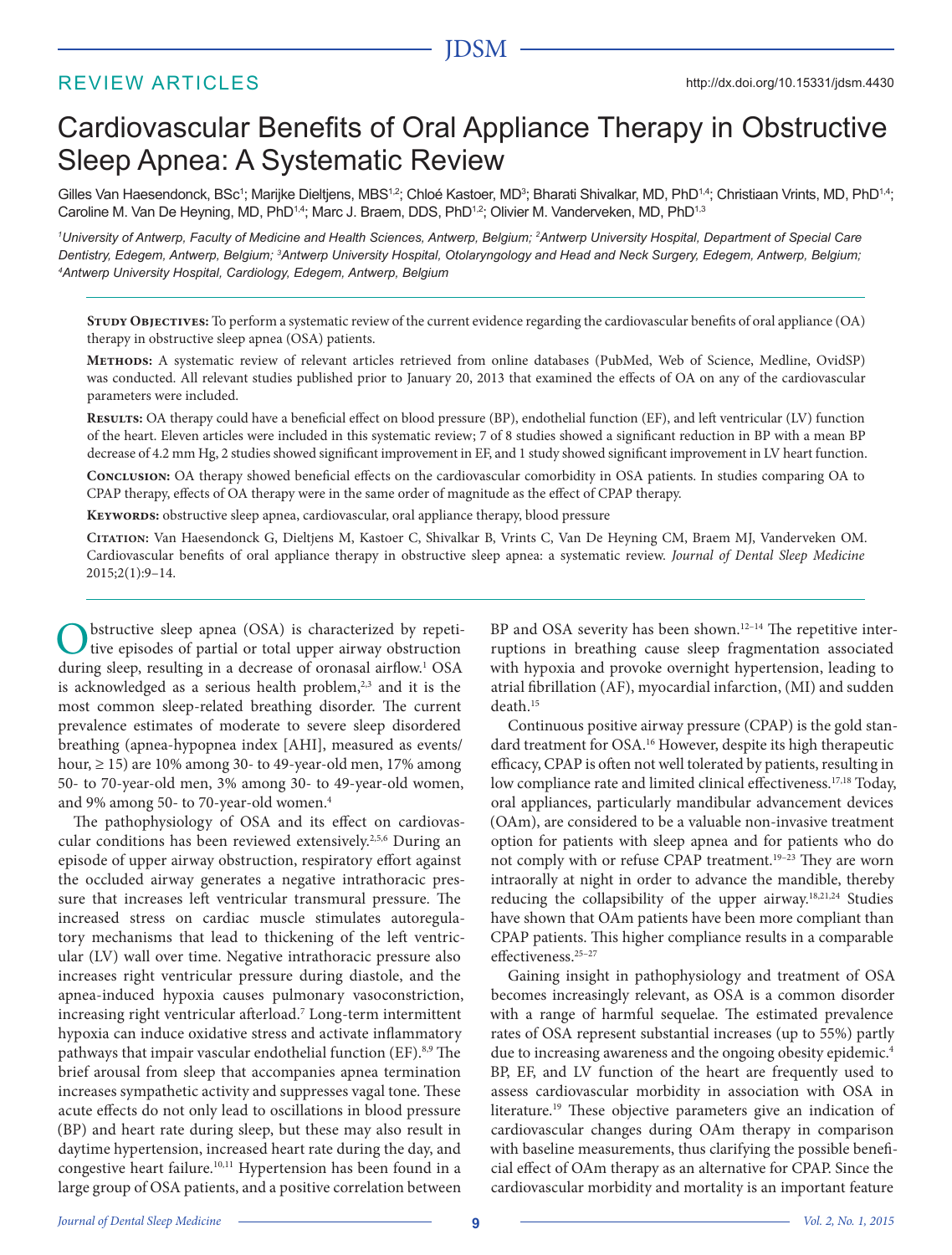# JDSM

# REVIEW ARTICLES

# Cardiovascular Benefits of Oral Appliance Therapy in Obstructive Sleep Apnea: A Systematic Review

Gilles Van Haesendonck, BSc<sup>1</sup>; Marijke Dieltjens, MBS<sup>12</sup>; Chloé Kastoer, MD<sup>3</sup>; Bharati Shivalkar, MD, PhD<sup>14</sup>; Christiaan Vrints, MD, PhD<sup>14</sup>; Caroline M. Van De Heyning, MD, PhD<sup>1,4</sup>; Marc J. Braem, DDS, PhD<sup>1,2</sup>; Olivier M. Vanderveken, MD, PhD<sup>1,3</sup>

*1 University of Antwerp, Faculty of Medicine and Health Sciences, Antwerp, Belgium; 2 Antwerp University Hospital, Department of Special Care*  Dentistry, Edegem, Antwerp, Belgium; <sup>3</sup>Antwerp University Hospital, Otolaryngology and Head and Neck Surgery, Edegem, Antwerp, Belgium; *4 Antwerp University Hospital, Cardiology, Edegem, Antwerp, Belgium*

**Study Objectives:** To perform a systematic review of the current evidence regarding the cardiovascular benefits of oral appliance (OA) therapy in obstructive sleep apnea (OSA) patients.

**Methods:** A systematic review of relevant articles retrieved from online databases (PubMed, Web of Science, Medline, OvidSP) was conducted. All relevant studies published prior to January 20, 2013 that examined the effects of OA on any of the cardiovascular parameters were included.

**Results:** OA therapy could have a beneficial effect on blood pressure (BP), endothelial function (EF), and left ventricular (LV) function of the heart. Eleven articles were included in this systematic review; 7 of 8 studies showed a significant reduction in BP with a mean BP decrease of 4.2 mm Hg, 2 studies showed significant improvement in EF, and 1 study showed significant improvement in LV heart function.

**Conclusion:** OA therapy showed beneficial effects on the cardiovascular comorbidity in OSA patients. In studies comparing OA to CPAP therapy, effects of OA therapy were in the same order of magnitude as the effect of CPAP therapy.

**Keywords:** obstructive sleep apnea, cardiovascular, oral appliance therapy, blood pressure

**Citation:** Van Haesendonck G, Dieltjens M, Kastoer C, Shivalkar B, Vrints C, Van De Heyning CM, Braem MJ, Vanderveken OM. Cardiovascular benefits of oral appliance therapy in obstructive sleep apnea: a systematic review. *Journal of Dental Sleep Medicine* 2015;2(1):9–14.

bstructive sleep apnea (OSA) is characterized by repetitive episodes of partial or total upper airway obstruction during sleep, resulting in a decrease of oronasal airflow.<sup>1</sup> OSA is acknowledged as a serious health problem,<sup>2,3</sup> and it is the most common sleep-related breathing disorder. The current prevalence estimates of moderate to severe sleep disordered breathing (apnea-hypopnea index [AHI], measured as events/ hour, ≥ 15) are 10% among 30- to 49-year-old men, 17% among 50- to 70-year-old men, 3% among 30- to 49-year-old women, and 9% among 50- to 70-year-old women.4

The pathophysiology of OSA and its effect on cardiovascular conditions has been reviewed extensively.2,5,6 During an episode of upper airway obstruction, respiratory effort against the occluded airway generates a negative intrathoracic pressure that increases left ventricular transmural pressure. The increased stress on cardiac muscle stimulates autoregulatory mechanisms that lead to thickening of the left ventricular (LV) wall over time. Negative intrathoracic pressure also increases right ventricular pressure during diastole, and the apnea-induced hypoxia causes pulmonary vasoconstriction, increasing right ventricular afterload.7 Long-term intermittent hypoxia can induce oxidative stress and activate inflammatory pathways that impair vascular endothelial function (EF).<sup>8,9</sup> The brief arousal from sleep that accompanies apnea termination increases sympathetic activity and suppresses vagal tone. These acute effects do not only lead to oscillations in blood pressure (BP) and heart rate during sleep, but these may also result in daytime hypertension, increased heart rate during the day, and congestive heart failure.10,11 Hypertension has been found in a large group of OSA patients, and a positive correlation between

BP and OSA severity has been shown.<sup>12-14</sup> The repetitive interruptions in breathing cause sleep fragmentation associated with hypoxia and provoke overnight hypertension, leading to atrial fibrillation (AF), myocardial infarction, (MI) and sudden death.<sup>15</sup>

Continuous positive airway pressure (CPAP) is the gold standard treatment for OSA.<sup>16</sup> However, despite its high therapeutic efficacy, CPAP is often not well tolerated by patients, resulting in low compliance rate and limited clinical effectiveness.<sup>17,18</sup> Today, oral appliances, particularly mandibular advancement devices (OAm), are considered to be a valuable non-invasive treatment option for patients with sleep apnea and for patients who do not comply with or refuse CPAP treatment.19–23 They are worn intraorally at night in order to advance the mandible, thereby reducing the collapsibility of the upper airway.<sup>18,21,24</sup> Studies have shown that OAm patients have been more compliant than CPAP patients. This higher compliance results in a comparable effectiveness.25–27

Gaining insight in pathophysiology and treatment of OSA becomes increasingly relevant, as OSA is a common disorder with a range of harmful sequelae. The estimated prevalence rates of OSA represent substantial increases (up to 55%) partly due to increasing awareness and the ongoing obesity epidemic.<sup>4</sup> BP, EF, and LV function of the heart are frequently used to assess cardiovascular morbidity in association with OSA in literature.19 These objective parameters give an indication of cardiovascular changes during OAm therapy in comparison with baseline measurements, thus clarifying the possible beneficial effect of OAm therapy as an alternative for CPAP. Since the cardiovascular morbidity and mortality is an important feature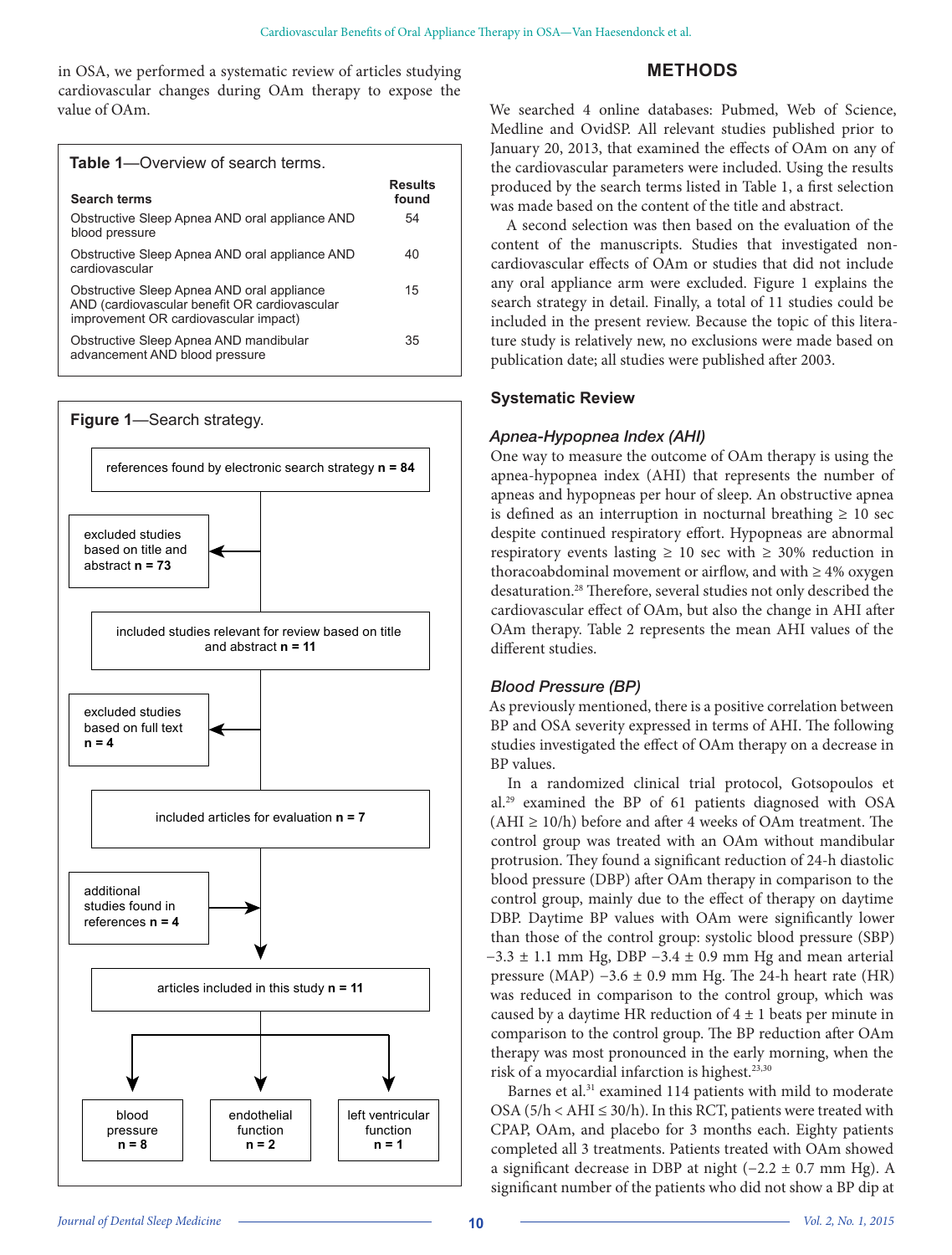in OSA, we performed a systematic review of articles studying cardiovascular changes during OAm therapy to expose the value of OAm.

# **METHODS**

| <b>Table 1</b> —Overview of search terms.                                                                                            |                         |
|--------------------------------------------------------------------------------------------------------------------------------------|-------------------------|
| <b>Search terms</b>                                                                                                                  | <b>Results</b><br>found |
| Obstructive Sleep Apnea AND oral appliance AND<br>blood pressure                                                                     | 54                      |
| Obstructive Sleep Apnea AND oral appliance AND<br>cardiovascular                                                                     | 40                      |
| Obstructive Sleep Apnea AND oral appliance<br>AND (cardiovascular benefit OR cardiovascular<br>improvement OR cardiovascular impact) | 15                      |
| Obstructive Sleep Apnea AND mandibular<br>advancement AND blood pressure                                                             | 35                      |



We searched 4 online databases: Pubmed, Web of Science, Medline and OvidSP. All relevant studies published prior to January 20, 2013, that examined the effects of OAm on any of the cardiovascular parameters were included. Using the results produced by the search terms listed in Table 1, a first selection was made based on the content of the title and abstract.

A second selection was then based on the evaluation of the content of the manuscripts. Studies that investigated noncardiovascular effects of OAm or studies that did not include any oral appliance arm were excluded. Figure 1 explains the search strategy in detail. Finally, a total of 11 studies could be included in the present review. Because the topic of this literature study is relatively new, no exclusions were made based on publication date; all studies were published after 2003.

## **Systematic Review**

## *Apnea-Hypopnea Index (AHI)*

One way to measure the outcome of OAm therapy is using the apnea-hypopnea index (AHI) that represents the number of apneas and hypopneas per hour of sleep. An obstructive apnea is defined as an interruption in nocturnal breathing  $\geq 10$  sec despite continued respiratory effort. Hypopneas are abnormal respiratory events lasting  $\geq 10$  sec with  $\geq 30\%$  reduction in thoracoabdominal movement or airflow, and with  $\geq 4\%$  oxygen desaturation.28 Therefore, several studies not only described the cardiovascular effect of OAm, but also the change in AHI after OAm therapy. Table 2 represents the mean AHI values of the different studies.

# *Blood Pressure (BP)*

As previously mentioned, there is a positive correlation between BP and OSA severity expressed in terms of AHI. The following studies investigated the effect of OAm therapy on a decrease in BP values.

In a randomized clinical trial protocol, Gotsopoulos et al.29 examined the BP of 61 patients diagnosed with OSA  $(AHI \geq 10/h)$  before and after 4 weeks of OAm treatment. The control group was treated with an OAm without mandibular protrusion. They found a significant reduction of 24-h diastolic blood pressure (DBP) after OAm therapy in comparison to the control group, mainly due to the effect of therapy on daytime DBP. Daytime BP values with OAm were significantly lower than those of the control group: systolic blood pressure (SBP)  $-3.3 \pm 1.1$  mm Hg, DBP  $-3.4 \pm 0.9$  mm Hg and mean arterial pressure (MAP)  $-3.6 \pm 0.9$  mm Hg. The 24-h heart rate (HR) was reduced in comparison to the control group, which was caused by a daytime HR reduction of  $4 \pm 1$  beats per minute in comparison to the control group. The BP reduction after OAm therapy was most pronounced in the early morning, when the risk of a myocardial infarction is highest.<sup>23,30</sup>

Barnes et al.<sup>31</sup> examined 114 patients with mild to moderate OSA ( $5/h < AHI \leq 30/h$ ). In this RCT, patients were treated with CPAP, OAm, and placebo for 3 months each. Eighty patients completed all 3 treatments. Patients treated with OAm showed a significant decrease in DBP at night (−2.2 ± 0.7 mm Hg). A significant number of the patients who did not show a BP dip at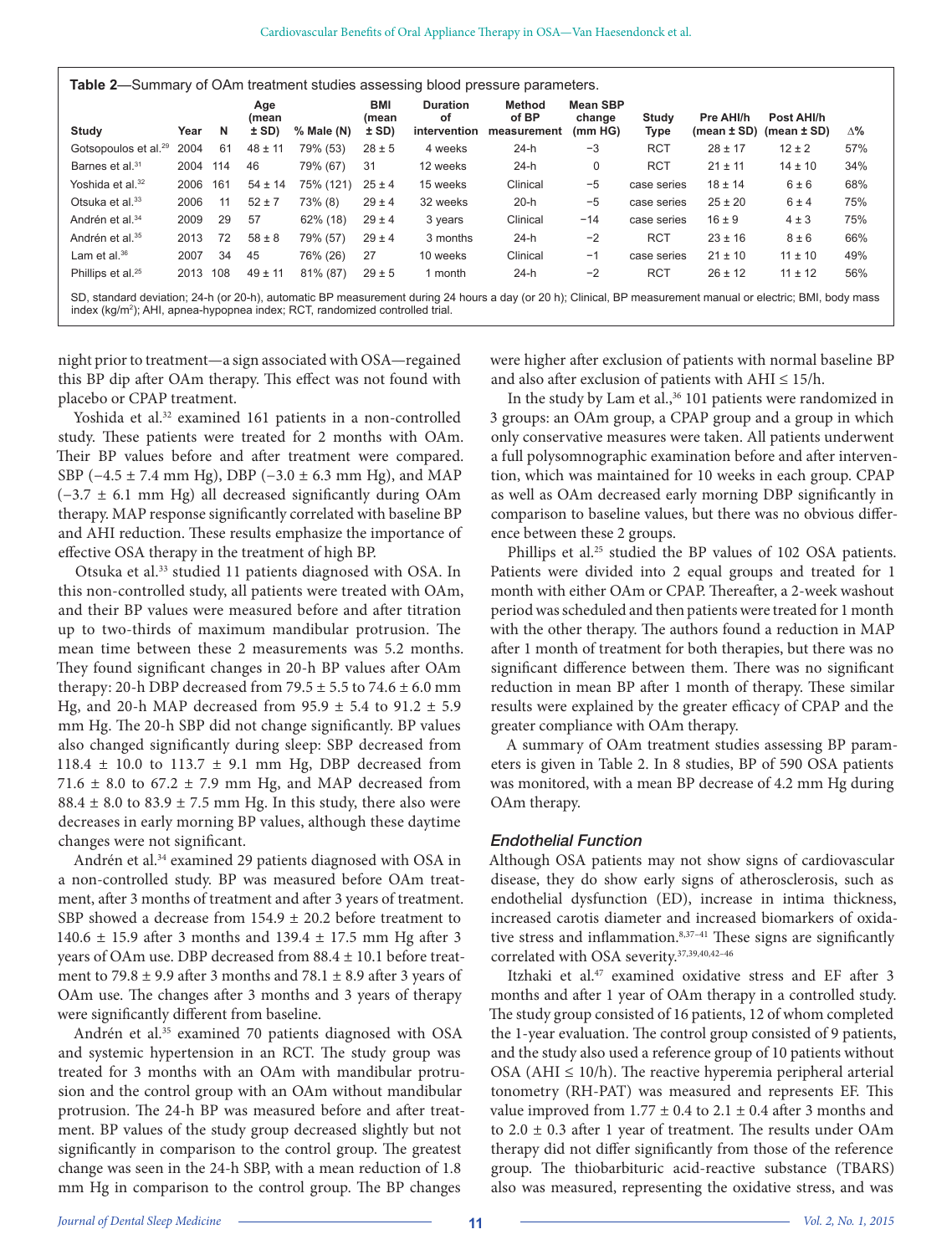**Table 2**—Summary of OAm treatment studies assessing blood pressure parameters.

|                                                                                                                                                           |      |     | Age<br>(mean |            | <b>BMI</b><br>(mean | <b>Duration</b><br>οf | <b>Method</b><br>of BP | <b>Mean SBP</b><br>change | Study       | Pre AHI/h   | Post AHI/h                       |     |
|-----------------------------------------------------------------------------------------------------------------------------------------------------------|------|-----|--------------|------------|---------------------|-----------------------|------------------------|---------------------------|-------------|-------------|----------------------------------|-----|
| Study                                                                                                                                                     | Year | N   | ± SD)        | % Male (N) | ± SD)               | intervention          | measurement            | (mm HG)                   | <b>Type</b> |             | $(mean \pm SD)$ (mean $\pm SD$ ) | Δ%  |
| Gotsopoulos et al. <sup>29</sup>                                                                                                                          | 2004 | 61  | $48 \pm 11$  | 79% (53)   | $28 \pm 5$          | 4 weeks               | $24-h$                 | $-3$                      | <b>RCT</b>  | $28 \pm 17$ | $12 \pm 2$                       | 57% |
| Barnes et al. <sup>31</sup>                                                                                                                               | 2004 | 114 | 46           | 79% (67)   | 31                  | 12 weeks              | $24-h$                 | $\mathbf 0$               | <b>RCT</b>  | $21 \pm 11$ | $14 \pm 10$                      | 34% |
| Yoshida et al. <sup>32</sup>                                                                                                                              | 2006 | 161 | $54 \pm 14$  | 75% (121)  | $25 \pm 4$          | 15 weeks              | Clinical               | $-5$                      | case series | $18 \pm 14$ | 6±6                              | 68% |
| Otsuka et al. <sup>33</sup>                                                                                                                               | 2006 | 11  | $52 \pm 7$   | 73% (8)    | $29 \pm 4$          | 32 weeks              | $20-h$                 | $-5$                      | case series | $25 \pm 20$ | 6±4                              | 75% |
| Andrén et al. <sup>34</sup>                                                                                                                               | 2009 | 29  | 57           | 62% (18)   | $29 \pm 4$          | 3 years               | Clinical               | $-14$                     | case series | $16 \pm 9$  | $4 \pm 3$                        | 75% |
| Andrén et al. <sup>35</sup>                                                                                                                               | 2013 | 72  | $58 \pm 8$   | 79% (57)   | $29 \pm 4$          | 3 months              | $24-h$                 | $-2$                      | <b>RCT</b>  | $23 \pm 16$ | $8 \pm 6$                        | 66% |
| Lam et al. $36$                                                                                                                                           | 2007 | 34  | 45           | 76% (26)   | 27                  | 10 weeks              | Clinical               | $-1$                      | case series | $21 \pm 10$ | $11 \pm 10$                      | 49% |
| Phillips et al. <sup>25</sup>                                                                                                                             | 2013 | 108 | $49 \pm 11$  | 81% (87)   | $29 \pm 5$          | 1 month               | $24-h$                 | $-2$                      | <b>RCT</b>  | $26 \pm 12$ | $11 \pm 12$                      | 56% |
| SD standard deviation: 24-h (or 20-h) automatic RP measurement during 24 hours a day (or 20 h); Clinical RP measurement manual or electric: RML hody mass |      |     |              |            |                     |                       |                        |                           |             |             |                                  |     |

SD, standard deviation; 24-h (or 20-h), automatic BP measurement during 24 hours a day (or 20 h); Clinical, BP measurement manual or electric; BMI, body mass index (kg/m<sup>2</sup>); AHI, apnea-hypopnea index; RCT, randomized controlled trial.

night prior to treatment—a sign associated with OSA—regained this BP dip after OAm therapy. This effect was not found with placebo or CPAP treatment.

Yoshida et al.<sup>32</sup> examined 161 patients in a non-controlled study. These patients were treated for 2 months with OAm. Their BP values before and after treatment were compared. SBP ( $-4.5 \pm 7.4$  mm Hg), DBP ( $-3.0 \pm 6.3$  mm Hg), and MAP (−3.7 ± 6.1 mm Hg) all decreased significantly during OAm therapy. MAP response significantly correlated with baseline BP and AHI reduction. These results emphasize the importance of effective OSA therapy in the treatment of high BP.

Otsuka et al.33 studied 11 patients diagnosed with OSA. In this non-controlled study, all patients were treated with OAm, and their BP values were measured before and after titration up to two-thirds of maximum mandibular protrusion. The mean time between these 2 measurements was 5.2 months. They found significant changes in 20-h BP values after OAm therapy: 20-h DBP decreased from  $79.5 \pm 5.5$  to  $74.6 \pm 6.0$  mm Hg, and 20-h MAP decreased from  $95.9 \pm 5.4$  to  $91.2 \pm 5.9$ mm Hg. The 20-h SBP did not change significantly. BP values also changed significantly during sleep: SBP decreased from 118.4  $\pm$  10.0 to 113.7  $\pm$  9.1 mm Hg, DBP decreased from 71.6  $\pm$  8.0 to 67.2  $\pm$  7.9 mm Hg, and MAP decreased from  $88.4 \pm 8.0$  to  $83.9 \pm 7.5$  mm Hg. In this study, there also were decreases in early morning BP values, although these daytime changes were not significant.

Andrén et al.<sup>34</sup> examined 29 patients diagnosed with OSA in a non-controlled study. BP was measured before OAm treatment, after 3 months of treatment and after 3 years of treatment. SBP showed a decrease from 154.9 ± 20.2 before treatment to 140.6 ± 15.9 after 3 months and 139.4 ± 17.5 mm Hg after 3 years of OAm use. DBP decreased from 88.4 ± 10.1 before treatment to 79.8  $\pm$  9.9 after 3 months and 78.1  $\pm$  8.9 after 3 years of OAm use. The changes after 3 months and 3 years of therapy were significantly different from baseline.

Andrén et al.<sup>35</sup> examined 70 patients diagnosed with OSA and systemic hypertension in an RCT. The study group was treated for 3 months with an OAm with mandibular protrusion and the control group with an OAm without mandibular protrusion. The 24-h BP was measured before and after treatment. BP values of the study group decreased slightly but not significantly in comparison to the control group. The greatest change was seen in the 24-h SBP, with a mean reduction of 1.8 mm Hg in comparison to the control group. The BP changes

were higher after exclusion of patients with normal baseline BP and also after exclusion of patients with  $AHI \leq 15/h$ .

In the study by Lam et al.,<sup>36</sup> 101 patients were randomized in 3 groups: an OAm group, a CPAP group and a group in which only conservative measures were taken. All patients underwent a full polysomnographic examination before and after intervention, which was maintained for 10 weeks in each group. CPAP as well as OAm decreased early morning DBP significantly in comparison to baseline values, but there was no obvious difference between these 2 groups.

Phillips et al.<sup>25</sup> studied the BP values of 102 OSA patients. Patients were divided into 2 equal groups and treated for 1 month with either OAm or CPAP. Thereafter, a 2-week washout period was scheduled and then patients were treated for 1 month with the other therapy. The authors found a reduction in MAP after 1 month of treatment for both therapies, but there was no significant difference between them. There was no significant reduction in mean BP after 1 month of therapy. These similar results were explained by the greater efficacy of CPAP and the greater compliance with OAm therapy.

A summary of OAm treatment studies assessing BP parameters is given in Table 2. In 8 studies, BP of 590 OSA patients was monitored, with a mean BP decrease of 4.2 mm Hg during OAm therapy.

#### *Endothelial Function*

Although OSA patients may not show signs of cardiovascular disease, they do show early signs of atherosclerosis, such as endothelial dysfunction (ED), increase in intima thickness, increased carotis diameter and increased biomarkers of oxidative stress and inflammation.<sup>8,37-41</sup> These signs are significantly correlated with OSA severity.<sup>37,39,40,42-46</sup>

Itzhaki et al.<sup>47</sup> examined oxidative stress and EF after 3 months and after 1 year of OAm therapy in a controlled study. The study group consisted of 16 patients, 12 of whom completed the 1-year evaluation. The control group consisted of 9 patients, and the study also used a reference group of 10 patients without OSA (AHI  $\leq$  10/h). The reactive hyperemia peripheral arterial tonometry (RH-PAT) was measured and represents EF. This value improved from  $1.77 \pm 0.4$  to  $2.1 \pm 0.4$  after 3 months and to  $2.0 \pm 0.3$  after 1 year of treatment. The results under OAm therapy did not differ significantly from those of the reference group. The thiobarbituric acid-reactive substance (TBARS) also was measured, representing the oxidative stress, and was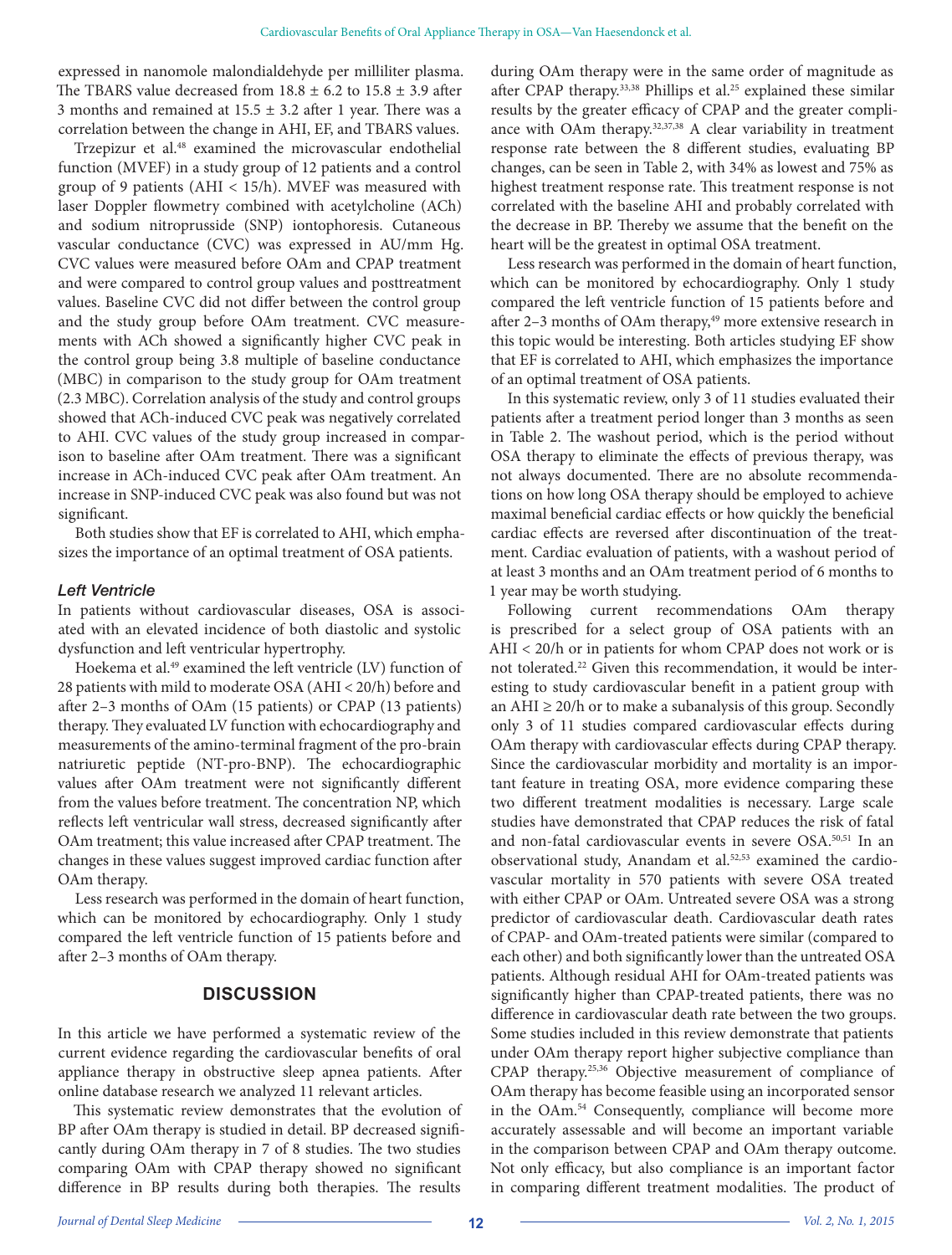expressed in nanomole malondialdehyde per milliliter plasma. The TBARS value decreased from  $18.8 \pm 6.2$  to  $15.8 \pm 3.9$  after 3 months and remained at  $15.5 \pm 3.2$  after 1 year. There was a correlation between the change in AHI, EF, and TBARS values.

Trzepizur et al.<sup>48</sup> examined the microvascular endothelial function (MVEF) in a study group of 12 patients and a control group of 9 patients (AHI < 15/h). MVEF was measured with laser Doppler flowmetry combined with acetylcholine (ACh) and sodium nitroprusside (SNP) iontophoresis. Cutaneous vascular conductance (CVC) was expressed in AU/mm Hg. CVC values were measured before OAm and CPAP treatment and were compared to control group values and posttreatment values. Baseline CVC did not differ between the control group and the study group before OAm treatment. CVC measurements with ACh showed a significantly higher CVC peak in the control group being 3.8 multiple of baseline conductance (MBC) in comparison to the study group for OAm treatment (2.3 MBC). Correlation analysis of the study and control groups showed that ACh-induced CVC peak was negatively correlated to AHI. CVC values of the study group increased in comparison to baseline after OAm treatment. There was a significant increase in ACh-induced CVC peak after OAm treatment. An increase in SNP-induced CVC peak was also found but was not significant.

Both studies show that EF is correlated to AHI, which emphasizes the importance of an optimal treatment of OSA patients.

#### *Left Ventricle*

In patients without cardiovascular diseases, OSA is associated with an elevated incidence of both diastolic and systolic dysfunction and left ventricular hypertrophy.

Hoekema et al.<sup>49</sup> examined the left ventricle (LV) function of 28 patients with mild to moderate OSA (AHI < 20/h) before and after 2–3 months of OAm (15 patients) or CPAP (13 patients) therapy. They evaluated LV function with echocardiography and measurements of the amino-terminal fragment of the pro-brain natriuretic peptide (NT-pro-BNP). The echocardiographic values after OAm treatment were not significantly different from the values before treatment. The concentration NP, which reflects left ventricular wall stress, decreased significantly after OAm treatment; this value increased after CPAP treatment. The changes in these values suggest improved cardiac function after OAm therapy.

Less research was performed in the domain of heart function, which can be monitored by echocardiography. Only 1 study compared the left ventricle function of 15 patients before and after 2–3 months of OAm therapy.

#### **DISCUSSION**

In this article we have performed a systematic review of the current evidence regarding the cardiovascular benefits of oral appliance therapy in obstructive sleep apnea patients. After online database research we analyzed 11 relevant articles.

This systematic review demonstrates that the evolution of BP after OAm therapy is studied in detail. BP decreased significantly during OAm therapy in 7 of 8 studies. The two studies comparing OAm with CPAP therapy showed no significant difference in BP results during both therapies. The results

during OAm therapy were in the same order of magnitude as after CPAP therapy.<sup>33,38</sup> Phillips et al.<sup>25</sup> explained these similar results by the greater efficacy of CPAP and the greater compliance with OAm therapy.32,37,38 A clear variability in treatment response rate between the 8 different studies, evaluating BP changes, can be seen in Table 2, with 34% as lowest and 75% as highest treatment response rate. This treatment response is not correlated with the baseline AHI and probably correlated with the decrease in BP. Thereby we assume that the benefit on the heart will be the greatest in optimal OSA treatment.

Less research was performed in the domain of heart function, which can be monitored by echocardiography. Only 1 study compared the left ventricle function of 15 patients before and after 2-3 months of OAm therapy,<sup>49</sup> more extensive research in this topic would be interesting. Both articles studying EF show that EF is correlated to AHI, which emphasizes the importance of an optimal treatment of OSA patients.

In this systematic review, only 3 of 11 studies evaluated their patients after a treatment period longer than 3 months as seen in Table 2. The washout period, which is the period without OSA therapy to eliminate the effects of previous therapy, was not always documented. There are no absolute recommendations on how long OSA therapy should be employed to achieve maximal beneficial cardiac effects or how quickly the beneficial cardiac effects are reversed after discontinuation of the treatment. Cardiac evaluation of patients, with a washout period of at least 3 months and an OAm treatment period of 6 months to 1 year may be worth studying.

Following current recommendations OAm therapy is prescribed for a select group of OSA patients with an AHI < 20/h or in patients for whom CPAP does not work or is not tolerated.22 Given this recommendation, it would be interesting to study cardiovascular benefit in a patient group with an  $AHI \geq 20/h$  or to make a subanalysis of this group. Secondly only 3 of 11 studies compared cardiovascular effects during OAm therapy with cardiovascular effects during CPAP therapy. Since the cardiovascular morbidity and mortality is an important feature in treating OSA, more evidence comparing these two different treatment modalities is necessary. Large scale studies have demonstrated that CPAP reduces the risk of fatal and non-fatal cardiovascular events in severe OSA.<sup>50,51</sup> In an observational study, Anandam et al.<sup>52,53</sup> examined the cardiovascular mortality in 570 patients with severe OSA treated with either CPAP or OAm. Untreated severe OSA was a strong predictor of cardiovascular death. Cardiovascular death rates of CPAP- and OAm-treated patients were similar (compared to each other) and both significantly lower than the untreated OSA patients. Although residual AHI for OAm-treated patients was significantly higher than CPAP-treated patients, there was no difference in cardiovascular death rate between the two groups. Some studies included in this review demonstrate that patients under OAm therapy report higher subjective compliance than CPAP therapy.25,36 Objective measurement of compliance of OAm therapy has become feasible using an incorporated sensor in the OAm.54 Consequently, compliance will become more accurately assessable and will become an important variable in the comparison between CPAP and OAm therapy outcome. Not only efficacy, but also compliance is an important factor in comparing different treatment modalities. The product of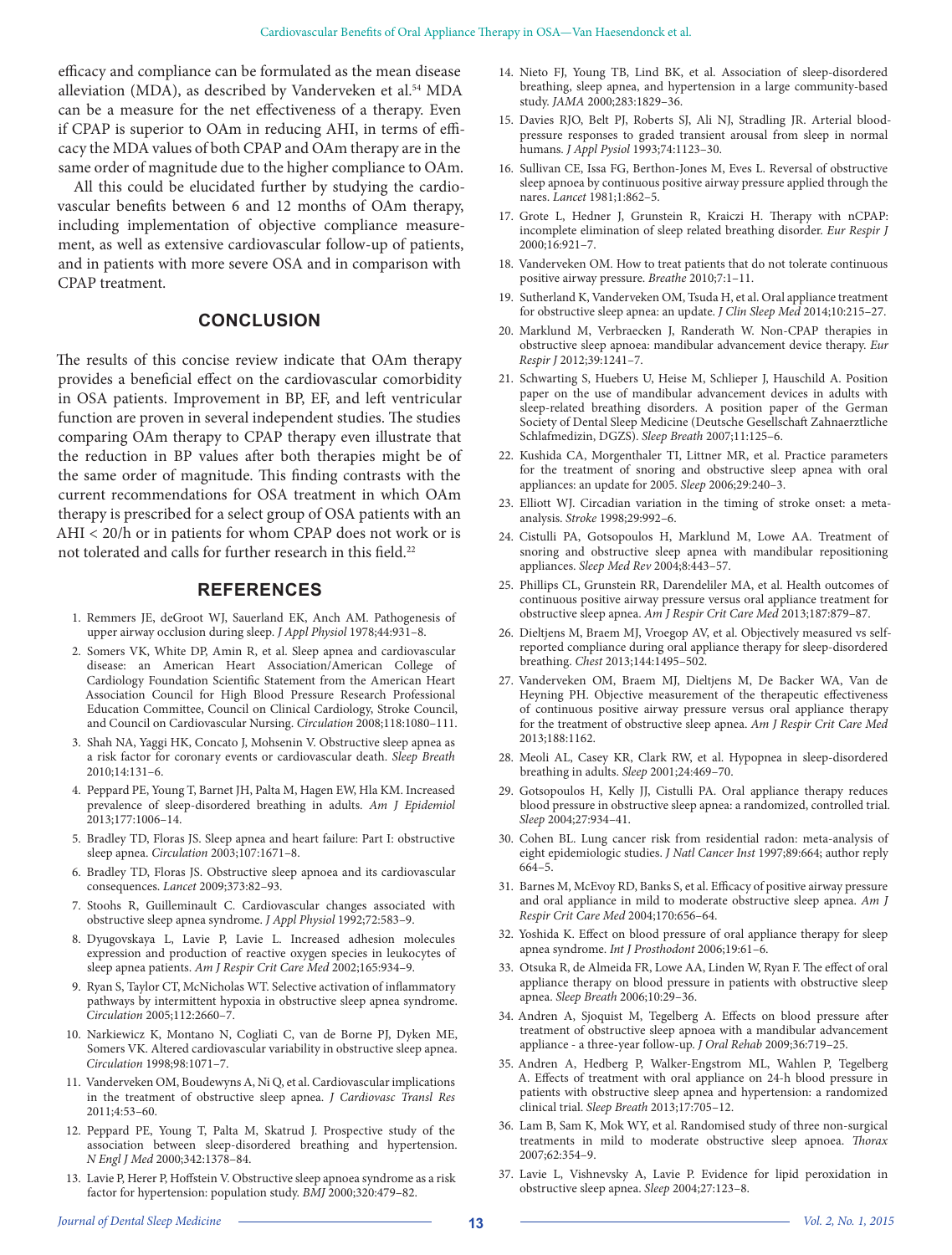efficacy and compliance can be formulated as the mean disease alleviation (MDA), as described by Vanderveken et al.<sup>54</sup> MDA can be a measure for the net effectiveness of a therapy. Even if CPAP is superior to OAm in reducing AHI, in terms of efficacy the MDA values of both CPAP and OAm therapy are in the same order of magnitude due to the higher compliance to OAm.

All this could be elucidated further by studying the cardiovascular benefits between 6 and 12 months of OAm therapy, including implementation of objective compliance measurement, as well as extensive cardiovascular follow-up of patients, and in patients with more severe OSA and in comparison with CPAP treatment.

## **CONCLUSION**

The results of this concise review indicate that OAm therapy provides a beneficial effect on the cardiovascular comorbidity in OSA patients. Improvement in BP, EF, and left ventricular function are proven in several independent studies. The studies comparing OAm therapy to CPAP therapy even illustrate that the reduction in BP values after both therapies might be of the same order of magnitude. This finding contrasts with the current recommendations for OSA treatment in which OAm therapy is prescribed for a select group of OSA patients with an AHI < 20/h or in patients for whom CPAP does not work or is not tolerated and calls for further research in this field.<sup>22</sup>

#### **REFERENCES**

- 1. Remmers JE, deGroot WJ, Sauerland EK, Anch AM. Pathogenesis of upper airway occlusion during sleep. *J Appl Physiol* 1978;44:931–8.
- 2. Somers VK, White DP, Amin R, et al. Sleep apnea and cardiovascular disease: an American Heart Association/American College of Cardiology Foundation Scientific Statement from the American Heart Association Council for High Blood Pressure Research Professional Education Committee, Council on Clinical Cardiology, Stroke Council, and Council on Cardiovascular Nursing. *Circulation* 2008;118:1080–111.
- 3. Shah NA, Yaggi HK, Concato J, Mohsenin V. Obstructive sleep apnea as a risk factor for coronary events or cardiovascular death. *Sleep Breath* 2010;14:131–6.
- 4. Peppard PE, Young T, Barnet JH, Palta M, Hagen EW, Hla KM. Increased prevalence of sleep-disordered breathing in adults. *Am J Epidemiol* 2013;177:1006–14.
- 5. Bradley TD, Floras JS. Sleep apnea and heart failure: Part I: obstructive sleep apnea. *Circulation* 2003;107:1671–8.
- 6. Bradley TD, Floras JS. Obstructive sleep apnoea and its cardiovascular consequences. *Lancet* 2009;373:82–93.
- 7. Stoohs R, Guilleminault C. Cardiovascular changes associated with obstructive sleep apnea syndrome. *J Appl Physiol* 1992;72:583–9.
- 8. Dyugovskaya L, Lavie P, Lavie L. Increased adhesion molecules expression and production of reactive oxygen species in leukocytes of sleep apnea patients. *Am J Respir Crit Care Med* 2002;165:934–9.
- 9. Ryan S, Taylor CT, McNicholas WT. Selective activation of inflammatory pathways by intermittent hypoxia in obstructive sleep apnea syndrome. *Circulation* 2005;112:2660–7.
- 10. Narkiewicz K, Montano N, Cogliati C, van de Borne PJ, Dyken ME, Somers VK. Altered cardiovascular variability in obstructive sleep apnea. *Circulation* 1998;98:1071–7.
- 11. Vanderveken OM, Boudewyns A, Ni Q, et al. Cardiovascular implications in the treatment of obstructive sleep apnea. *J Cardiovasc Transl Res* 2011;4:53–60.
- 12. Peppard PE, Young T, Palta M, Skatrud J. Prospective study of the association between sleep-disordered breathing and hypertension. *N Engl J Med* 2000;342:1378–84.
- 13. Lavie P, Herer P, Hoffstein V. Obstructive sleep apnoea syndrome as a risk factor for hypertension: population study. *BMJ* 2000;320:479–82.
- 14. Nieto FJ, Young TB, Lind BK, et al. Association of sleep-disordered breathing, sleep apnea, and hypertension in a large community-based study. *JAMA* 2000;283:1829–36.
- 15. Davies RJO, Belt PJ, Roberts SJ, Ali NJ, Stradling JR. Arterial bloodpressure responses to graded transient arousal from sleep in normal humans. *J Appl Pysiol* 1993;74:1123–30.
- 16. Sullivan CE, Issa FG, Berthon-Jones M, Eves L. Reversal of obstructive sleep apnoea by continuous positive airway pressure applied through the nares. *Lancet* 1981;1:862–5.
- 17. Grote L, Hedner J, Grunstein R, Kraiczi H. Therapy with nCPAP: incomplete elimination of sleep related breathing disorder. *Eur Respir J* 2000;16:921–7.
- 18. Vanderveken OM. How to treat patients that do not tolerate continuous positive airway pressure. *Breathe* 2010;7:1–11.
- 19. Sutherland K, Vanderveken OM, Tsuda H, et al. Oral appliance treatment for obstructive sleep apnea: an update. *J Clin Sleep Med* 2014;10:215–27.
- 20. Marklund M, Verbraecken J, Randerath W. Non-CPAP therapies in obstructive sleep apnoea: mandibular advancement device therapy. *Eur Respir J* 2012;39:1241–7.
- 21. Schwarting S, Huebers U, Heise M, Schlieper J, Hauschild A. Position paper on the use of mandibular advancement devices in adults with sleep-related breathing disorders. A position paper of the German Society of Dental Sleep Medicine (Deutsche Gesellschaft Zahnaerztliche Schlafmedizin, DGZS). *Sleep Breath* 2007;11:125–6.
- 22. Kushida CA, Morgenthaler TI, Littner MR, et al. Practice parameters for the treatment of snoring and obstructive sleep apnea with oral appliances: an update for 2005. *Sleep* 2006;29:240–3.
- 23. Elliott WJ. Circadian variation in the timing of stroke onset: a metaanalysis. *Stroke* 1998;29:992–6.
- 24. Cistulli PA, Gotsopoulos H, Marklund M, Lowe AA. Treatment of snoring and obstructive sleep apnea with mandibular repositioning appliances. *Sleep Med Rev* 2004;8:443–57.
- 25. Phillips CL, Grunstein RR, Darendeliler MA, et al. Health outcomes of continuous positive airway pressure versus oral appliance treatment for obstructive sleep apnea. *Am J Respir Crit Care Med* 2013;187:879–87.
- 26. Dieltjens M, Braem MJ, Vroegop AV, et al. Objectively measured vs selfreported compliance during oral appliance therapy for sleep-disordered breathing. *Chest* 2013;144:1495–502.
- 27. Vanderveken OM, Braem MJ, Dieltjens M, De Backer WA, Van de Heyning PH. Objective measurement of the therapeutic effectiveness of continuous positive airway pressure versus oral appliance therapy for the treatment of obstructive sleep apnea. *Am J Respir Crit Care Med* 2013;188:1162.
- 28. Meoli AL, Casey KR, Clark RW, et al. Hypopnea in sleep-disordered breathing in adults. *Sleep* 2001;24:469–70.
- 29. Gotsopoulos H, Kelly JJ, Cistulli PA. Oral appliance therapy reduces blood pressure in obstructive sleep apnea: a randomized, controlled trial. *Sleep* 2004;27:934–41.
- 30. Cohen BL. Lung cancer risk from residential radon: meta-analysis of eight epidemiologic studies. *J Natl Cancer Inst* 1997;89:664; author reply 664–5.
- 31. Barnes M, McEvoy RD, Banks S, et al. Efficacy of positive airway pressure and oral appliance in mild to moderate obstructive sleep apnea. *Am J Respir Crit Care Med* 2004;170:656–64.
- 32. Yoshida K. Effect on blood pressure of oral appliance therapy for sleep apnea syndrome. *Int J Prosthodont* 2006;19:61–6.
- 33. Otsuka R, de Almeida FR, Lowe AA, Linden W, Ryan F. The effect of oral appliance therapy on blood pressure in patients with obstructive sleep apnea. *Sleep Breath* 2006;10:29–36.
- 34. Andren A, Sjoquist M, Tegelberg A. Effects on blood pressure after treatment of obstructive sleep apnoea with a mandibular advancement appliance - a three-year follow-up. *J Oral Rehab* 2009;36:719–25.
- 35. Andren A, Hedberg P, Walker-Engstrom ML, Wahlen P, Tegelberg A. Effects of treatment with oral appliance on 24-h blood pressure in patients with obstructive sleep apnea and hypertension: a randomized clinical trial. *Sleep Breath* 2013;17:705–12.
- 36. Lam B, Sam K, Mok WY, et al. Randomised study of three non-surgical treatments in mild to moderate obstructive sleep apnoea. *Thorax* 2007;62:354–9.
- 37. Lavie L, Vishnevsky A, Lavie P. Evidence for lipid peroxidation in obstructive sleep apnea. *Sleep* 2004;27:123–8.